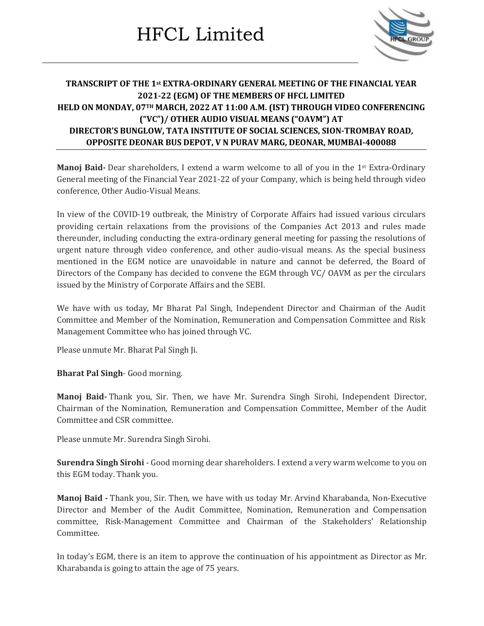

#### **TRANSCRIPT OF THE 1st EXTRA-ORDINARY GENERAL MEETING OF THE FINANCIAL YEAR 2021-22 (EGM) OF THE MEMBERS OF HFCL LIMITED HELD ON MONDAY, 07TH MARCH, 2022 AT 11:00 A.M. (IST) THROUGH VIDEO CONFERENCING ("VC")/ OTHER AUDIO VISUAL MEANS ("OAVM") AT DIRECTOR'S BUNGLOW, TATA INSTITUTE OF SOCIAL SCIENCES, SION-TROMBAY ROAD, OPPOSITE DEONAR BUS DEPOT, V N PURAV MARG, DEONAR, MUMBAI-400088**

**Manoj Baid-** Dear shareholders, I extend a warm welcome to all of you in the 1st Extra-Ordinary General meeting of the Financial Year 2021-22 of your Company, which is being held through video conference, Other Audio-Visual Means.

In view of the COVID-19 outbreak, the Ministry of Corporate Affairs had issued various circulars providing certain relaxations from the provisions of the Companies Act 2013 and rules made thereunder, including conducting the extra-ordinary general meeting for passing the resolutions of urgent nature through video conference, and other audio-visual means. As the special business mentioned in the EGM notice are unavoidable in nature and cannot be deferred, the Board of Directors of the Company has decided to convene the EGM through VC/ OAVM as per the circulars issued by the Ministry of Corporate Affairs and the SEBI.

We have with us today, Mr Bharat Pal Singh, Independent Director and Chairman of the Audit Committee and Member of the Nomination, Remuneration and Compensation Committee and Risk Management Committee who has joined through VC.

Please unmute Mr. Bharat Pal Singh Ji.

**Bharat Pal Singh**- Good morning.

**Manoj Baid-** Thank you, Sir. Then, we have Mr. Surendra Singh Sirohi, Independent Director, Chairman of the Nomination, Remuneration and Compensation Committee, Member of the Audit Committee and CSR committee.

Please unmute Mr. Surendra Singh Sirohi.

**Surendra Singh Sirohi** - Good morning dear shareholders. I extend a very warm welcome to you on this EGM today. Thank you.

**Manoj Baid -** Thank you, Sir. Then, we have with us today Mr. Arvind Kharabanda, Non-Executive Director and Member of the Audit Committee, Nomination, Remuneration and Compensation committee, Risk-Management Committee and Chairman of the Stakeholders' Relationship Committee.

In today's EGM, there is an item to approve the continuation of his appointment as Director as Mr. Kharabanda is going to attain the age of 75 years.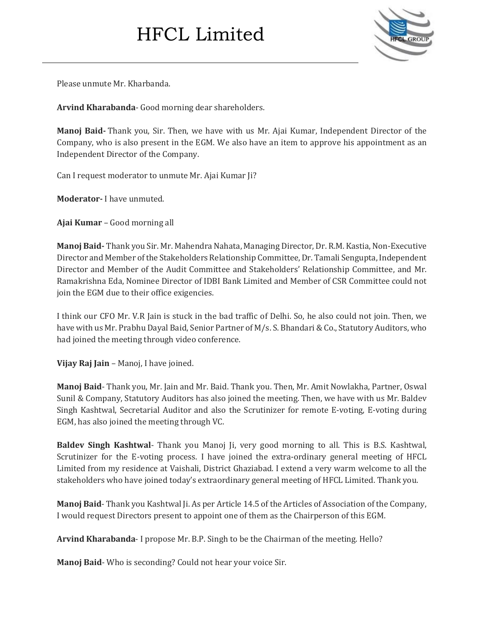

Please unmute Mr. Kharbanda.

**Arvind Kharabanda**- Good morning dear shareholders.

**Manoj Baid-** Thank you, Sir. Then, we have with us Mr. Ajai Kumar, Independent Director of the Company, who is also present in the EGM. We also have an item to approve his appointment as an Independent Director of the Company.

Can I request moderator to unmute Mr. Ajai Kumar Ji?

**Moderator-** I have unmuted.

**Ajai Kumar** – Good morning all

**Manoj Baid-** Thank you Sir. Mr. Mahendra Nahata, Managing Director,Dr. R.M. Kastia,Non-Executive Director and Member ofthe Stakeholders Relationship Committee,Dr. Tamali Sengupta, Independent Director and Member of the Audit Committee and Stakeholders' Relationship Committee, and Mr. Ramakrishna Eda, Nominee Director of IDBI Bank Limited and Member of CSR Committee could not join the EGM due to their office exigencies.

I think our CFO Mr. V.R Jain is stuck in the bad traffic of Delhi. So, he also could not join. Then, we have with us Mr. Prabhu Dayal Baid, Senior Partner of M/s. S. Bhandari & Co., Statutory Auditors, who had joined the meeting through video conference.

**Vijay Raj Jain** – Manoj, I have joined.

**Manoj Baid**- Thank you, Mr. Jain and Mr. Baid. Thank you. Then, Mr. Amit Nowlakha, Partner, Oswal Sunil & Company, Statutory Auditors has also joined the meeting. Then, we have with us Mr. Baldev Singh Kashtwal, Secretarial Auditor and also the Scrutinizer for remote E-voting, E-voting during EGM, has also joined the meeting through VC.

**Baldev Singh Kashtwal**- Thank you Manoj Ji, very good morning to all. This is B.S. Kashtwal, Scrutinizer for the E-voting process. I have joined the extra-ordinary general meeting of HFCL Limited from my residence at Vaishali, District Ghaziabad. I extend a very warm welcome to all the stakeholders who have joined today's extraordinary general meeting of HFCL Limited. Thank you.

**Manoj Baid**- Thank you Kashtwal Ji. As per Article 14.5 of the Articles of Association of the Company, I would request Directors present to appoint one of them as the Chairperson of this EGM.

**Arvind Kharabanda**- I propose Mr. B.P. Singh to be the Chairman of the meeting. Hello?

**Manoj Baid**- Who is seconding? Could not hear your voice Sir.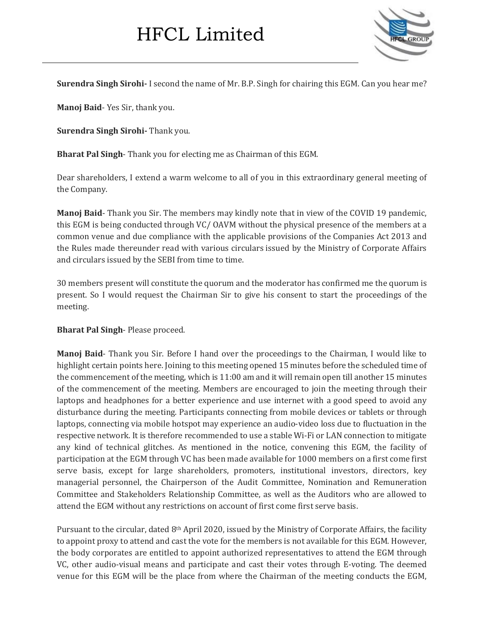

**Surendra Singh Sirohi-** I second the name of Mr. B.P. Singh for chairing this EGM. Can you hear me?

**Manoj Baid**- Yes Sir, thank you.

**Surendra Singh Sirohi-** Thank you.

**Bharat Pal Singh**- Thank you for electing me as Chairman of this EGM.

Dear shareholders, I extend a warm welcome to all of you in this extraordinary general meeting of the Company.

**Manoj Baid**- Thank you Sir. The members may kindly note that in view of the COVID 19 pandemic, this EGM is being conducted through VC/ OAVM without the physical presence of the members at a common venue and due compliance with the applicable provisions of the Companies Act 2013 and the Rules made thereunder read with various circulars issued by the Ministry of Corporate Affairs and circulars issued by the SEBI from time to time.

30 members present will constitute the quorum and the moderator has confirmed me the quorum is present. So I would request the Chairman Sir to give his consent to start the proceedings of the meeting.

#### **Bharat Pal Singh**- Please proceed.

**Manoj Baid**- Thank you Sir. Before I hand over the proceedings to the Chairman, I would like to highlight certain points here. Joining to this meeting opened 15 minutes before the scheduled time of the commencement of the meeting, which is 11:00 am and it will remain open till another 15 minutes of the commencement of the meeting. Members are encouraged to join the meeting through their laptops and headphones for a better experience and use internet with a good speed to avoid any disturbance during the meeting. Participants connecting from mobile devices or tablets or through laptops, connecting via mobile hotspot may experience an audio-video loss due to fluctuation in the respective network. It is therefore recommended to use a stable Wi-Fi or LAN connection to mitigate any kind of technical glitches. As mentioned in the notice, convening this EGM, the facility of participation at the EGM through VC has been made available for 1000 members on a first come first serve basis, except for large shareholders, promoters, institutional investors, directors, key managerial personnel, the Chairperson of the Audit Committee, Nomination and Remuneration Committee and Stakeholders Relationship Committee, as well as the Auditors who are allowed to attend the EGM without any restrictions on account of first come first serve basis.

Pursuant to the circular, dated 8<sup>th</sup> April 2020, issued by the Ministry of Corporate Affairs, the facility to appoint proxy to attend and cast the vote for the members is not available for this EGM. However, the body corporates are entitled to appoint authorized representatives to attend the EGM through VC, other audio-visual means and participate and cast their votes through E-voting. The deemed venue for this EGM will be the place from where the Chairman of the meeting conducts the EGM,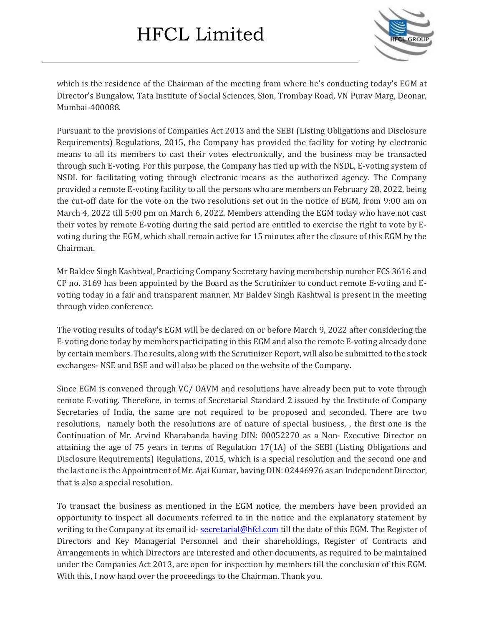

which is the residence of the Chairman of the meeting from where he's conducting today's EGM at Director's Bungalow, Tata Institute of Social Sciences, Sion, Trombay Road, VN Purav Marg, Deonar, Mumbai-400088.

Pursuant to the provisions of Companies Act 2013 and the SEBI (Listing Obligations and Disclosure Requirements) Regulations, 2015, the Company has provided the facility for voting by electronic means to all its members to cast their votes electronically, and the business may be transacted through such E-voting. For this purpose, the Company has tied up with the NSDL, E-voting system of NSDL for facilitating voting through electronic means as the authorized agency. The Company provided a remote E-voting facility to all the persons who are members on February 28, 2022, being the cut-off date for the vote on the two resolutions set out in the notice of EGM, from 9:00 am on March 4, 2022 till 5:00 pm on March 6, 2022. Members attending the EGM today who have not cast their votes by remote E-voting during the said period are entitled to exercise the right to vote by Evoting during the EGM, which shall remain active for 15 minutes after the closure of this EGM by the Chairman.

Mr Baldev Singh Kashtwal, Practicing Company Secretary having membership number FCS 3616 and CP no. 3169 has been appointed by the Board as the Scrutinizer to conduct remote E-voting and Evoting today in a fair and transparent manner. Mr Baldev Singh Kashtwal is present in the meeting through video conference.

The voting results of today's EGM will be declared on or before March 9, 2022 after considering the E-voting done today by members participating in this EGM and also the remote E-voting already done by certain members. The results, along with the Scrutinizer Report, will also be submitted to the stock exchanges- NSE and BSE and will also be placed on the website of the Company.

Since EGM is convened through VC/ OAVM and resolutions have already been put to vote through remote E-voting. Therefore, in terms of Secretarial Standard 2 issued by the Institute of Company Secretaries of India, the same are not required to be proposed and seconded. There are two resolutions, namely both the resolutions are of nature of special business, , the first one is the Continuation of Mr. Arvind Kharabanda having DIN: 00052270 as a Non- Executive Director on attaining the age of 75 years in terms of Regulation 17(1A) of the SEBI (Listing Obligations and Disclosure Requirements) Regulations, 2015, which is a special resolution and the second one and the last one is the Appointment of Mr. Ajai Kumar, having DIN: 02446976 as an Independent Director, that is also a special resolution.

To transact the business as mentioned in the EGM notice, the members have been provided an opportunity to inspect all documents referred to in the notice and the explanatory statement by writing to the Company at its email id- [secretarial@hfcl.com](mailto:secretarial@hfcl.com) till the date of this EGM. The Register of Directors and Key Managerial Personnel and their shareholdings, Register of Contracts and Arrangements in which Directors are interested and other documents, as required to be maintained under the Companies Act 2013, are open for inspection by members till the conclusion of this EGM. With this, I now hand over the proceedings to the Chairman. Thank you.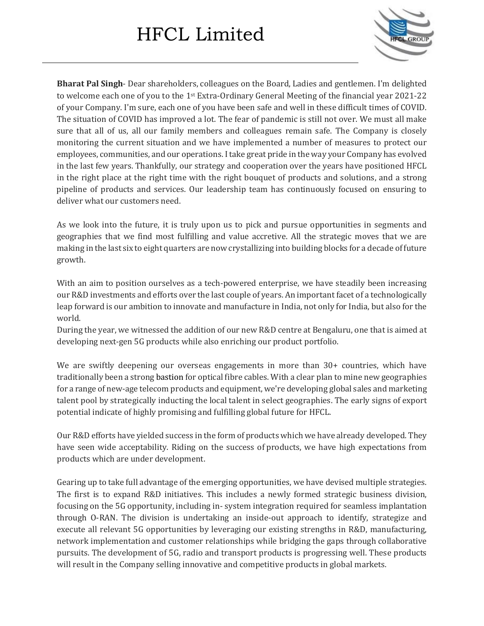

**Bharat Pal Singh**- Dear shareholders, colleagues on the Board, Ladies and gentlemen. I'm delighted to welcome each one of you to the 1st Extra-Ordinary General Meeting of the financial year 2021-22 of your Company. I'm sure, each one of you have been safe and well in these difficult times of COVID. The situation of COVID has improved a lot. The fear of pandemic is still not over. We must all make sure that all of us, all our family members and colleagues remain safe. The Company is closely monitoring the current situation and we have implemented a number of measures to protect our employees, communities, and our operations. Itake great pride in the way your Company has evolved in the last few years. Thankfully, our strategy and cooperation over the years have positioned HFCL in the right place at the right time with the right bouquet of products and solutions, and a strong pipeline of products and services. Our leadership team has continuously focused on ensuring to deliver what our customers need.

As we look into the future, it is truly upon us to pick and pursue opportunities in segments and geographies that we find most fulfilling and value accretive. All the strategic moves that we are making in the last six to eight quarters are now crystallizing into building blocks for a decade of future growth.

With an aim to position ourselves as a tech-powered enterprise, we have steadily been increasing our R&D investments and efforts over the last couple of years. An important facet of a technologically leap forward is our ambition to innovate and manufacture in India, not only for India, but also for the world.

During the year, we witnessed the addition of our new R&D centre at Bengaluru, one that is aimed at developing next-gen 5G products while also enriching our product portfolio.

We are swiftly deepening our overseas engagements in more than 30+ countries, which have traditionally been a strong bastion for optical fibre cables. With a clear plan to mine new geographies for a range of new-age telecom products and equipment, we're developing global sales and marketing talent pool by strategically inducting the local talent in select geographies. The early signs of export potential indicate of highly promising and fulfilling global future for HFCL.

Our R&D efforts have yielded success in the form of products which we have already developed. They have seen wide acceptability. Riding on the success of products, we have high expectations from products which are under development.

Gearing up to take full advantage of the emerging opportunities, we have devised multiple strategies. The first is to expand R&D initiatives. This includes a newly formed strategic business division, focusing on the 5G opportunity, including in- system integration required for seamless implantation through O-RAN. The division is undertaking an inside-out approach to identify, strategize and execute all relevant 5G opportunities by leveraging our existing strengths in R&D, manufacturing, network implementation and customer relationships while bridging the gaps through collaborative pursuits. The development of 5G, radio and transport products is progressing well. These products will result in the Company selling innovative and competitive products in global markets.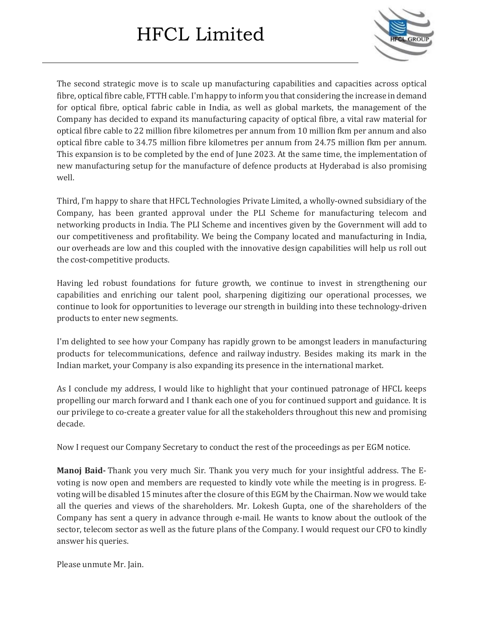

The second strategic move is to scale up manufacturing capabilities and capacities across optical fibre, optical fibre cable, FTTH cable. I'm happy to inform you that considering the increase in demand for optical fibre, optical fabric cable in India, as well as global markets, the management of the Company has decided to expand its manufacturing capacity of optical fibre, a vital raw material for optical fibre cable to 22 million fibre kilometres per annum from 10 million fkm per annum and also optical fibre cable to 34.75 million fibre kilometres per annum from 24.75 million fkm per annum. This expansion is to be completed by the end of June 2023. At the same time, the implementation of new manufacturing setup for the manufacture of defence products at Hyderabad is also promising well.

Third, I'm happy to share that HFCL Technologies Private Limited, a wholly-owned subsidiary of the Company, has been granted approval under the PLI Scheme for manufacturing telecom and networking products in India. The PLI Scheme and incentives given by the Government will add to our competitiveness and profitability. We being the Company located and manufacturing in India, our overheads are low and this coupled with the innovative design capabilities will help us roll out the cost-competitive products.

Having led robust foundations for future growth, we continue to invest in strengthening our capabilities and enriching our talent pool, sharpening digitizing our operational processes, we continue to look for opportunities to leverage our strength in building into these technology-driven products to enter new segments.

I'm delighted to see how your Company has rapidly grown to be amongst leaders in manufacturing products for telecommunications, defence and railway industry. Besides making its mark in the Indian market, your Company is also expanding its presence in the international market.

As I conclude my address, I would like to highlight that your continued patronage of HFCL keeps propelling our march forward and I thank each one of you for continued support and guidance. It is our privilege to co-create a greater value for all the stakeholders throughout this new and promising decade.

Now I request our Company Secretary to conduct the rest of the proceedings as per EGM notice.

**Manoj Baid-** Thank you very much Sir. Thank you very much for your insightful address. The Evoting is now open and members are requested to kindly vote while the meeting is in progress. Evoting will be disabled 15 minutes after the closure of this EGM by the Chairman. Now we would take all the queries and views of the shareholders. Mr. Lokesh Gupta, one of the shareholders of the Company has sent a query in advance through e-mail. He wants to know about the outlook of the sector, telecom sector as well as the future plans of the Company. I would request our CFO to kindly answer his queries.

Please unmute Mr. Jain.